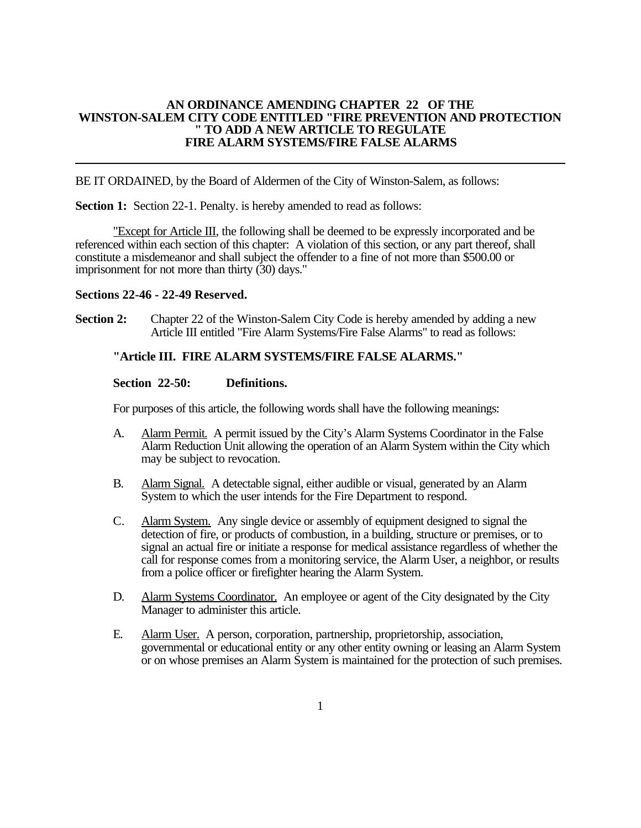### **AN ORDINANCE AMENDING CHAPTER 22 OF THE WINSTON-SALEM CITY CODE ENTITLED "FIRE PREVENTION AND PROTECTION " TO ADD A NEW ARTICLE TO REGULATE FIRE ALARM SYSTEMS/FIRE FALSE ALARMS**

BE IT ORDAINED, by the Board of Aldermen of the City of Winston-Salem, as follows:

**Section 1:** Section 22-1. Penalty. is hereby amended to read as follows:

"Except for Article III, the following shall be deemed to be expressly incorporated and be referenced within each section of this chapter: A violation of this section, or any part thereof, shall constitute a misdemeanor and shall subject the offender to a fine of not more than \$500.00 or imprisonment for not more than thirty (30) days."

# **Sections 22-46 - 22-49 Reserved.**

**Section 2:** Chapter 22 of the Winston-Salem City Code is hereby amended by adding a new Article III entitled "Fire Alarm Systems/Fire False Alarms" to read as follows:

# **"Article III. FIRE ALARM SYSTEMS/FIRE FALSE ALARMS."**

# **Section 22-50: Definitions.**

For purposes of this article, the following words shall have the following meanings:

- A. Alarm Permit. A permit issued by the City's Alarm Systems Coordinator in the False Alarm Reduction Unit allowing the operation of an Alarm System within the City which may be subject to revocation.
- B. Alarm Signal. A detectable signal, either audible or visual, generated by an Alarm System to which the user intends for the Fire Department to respond.
- C. Alarm System. Any single device or assembly of equipment designed to signal the detection of fire, or products of combustion, in a building, structure or premises, or to signal an actual fire or initiate a response for medical assistance regardless of whether the call for response comes from a monitoring service, the Alarm User, a neighbor, or results from a police officer or firefighter hearing the Alarm System.
- D. Alarm Systems Coordinator. An employee or agent of the City designated by the City Manager to administer this article.
- E. Alarm User. A person, corporation, partnership, proprietorship, association, governmental or educational entity or any other entity owning or leasing an Alarm System or on whose premises an Alarm System is maintained for the protection of such premises.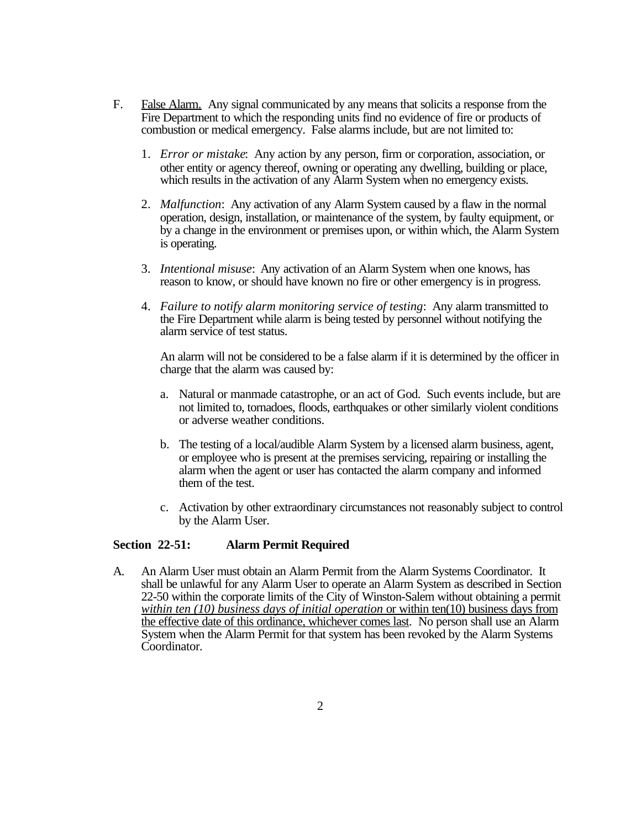- F. False Alarm. Any signal communicated by any means that solicits a response from the Fire Department to which the responding units find no evidence of fire or products of combustion or medical emergency. False alarms include, but are not limited to:
	- 1. *Error or mistake*: Any action by any person, firm or corporation, association, or other entity or agency thereof, owning or operating any dwelling, building or place, which results in the activation of any Alarm System when no emergency exists.
	- 2. *Malfunction*: Any activation of any Alarm System caused by a flaw in the normal operation, design, installation, or maintenance of the system, by faulty equipment, or by a change in the environment or premises upon, or within which, the Alarm System is operating.
	- 3. *Intentional misuse*: Any activation of an Alarm System when one knows, has reason to know, or should have known no fire or other emergency is in progress.
	- 4. *Failure to notify alarm monitoring service of testing*: Any alarm transmitted to the Fire Department while alarm is being tested by personnel without notifying the alarm service of test status.

An alarm will not be considered to be a false alarm if it is determined by the officer in charge that the alarm was caused by:

- a. Natural or manmade catastrophe, or an act of God. Such events include, but are not limited to, tornadoes, floods, earthquakes or other similarly violent conditions or adverse weather conditions.
- b. The testing of a local/audible Alarm System by a licensed alarm business, agent, or employee who is present at the premises servicing, repairing or installing the alarm when the agent or user has contacted the alarm company and informed them of the test.
- c. Activation by other extraordinary circumstances not reasonably subject to control by the Alarm User.

# **Section 22-51: Alarm Permit Required**

A. An Alarm User must obtain an Alarm Permit from the Alarm Systems Coordinator. It shall be unlawful for any Alarm User to operate an Alarm System as described in Section 22-50 within the corporate limits of the City of Winston-Salem without obtaining a permit *within ten (10) business days of initial operation* or within ten(10) business days from the effective date of this ordinance, whichever comes last. No person shall use an Alarm System when the Alarm Permit for that system has been revoked by the Alarm Systems Coordinator.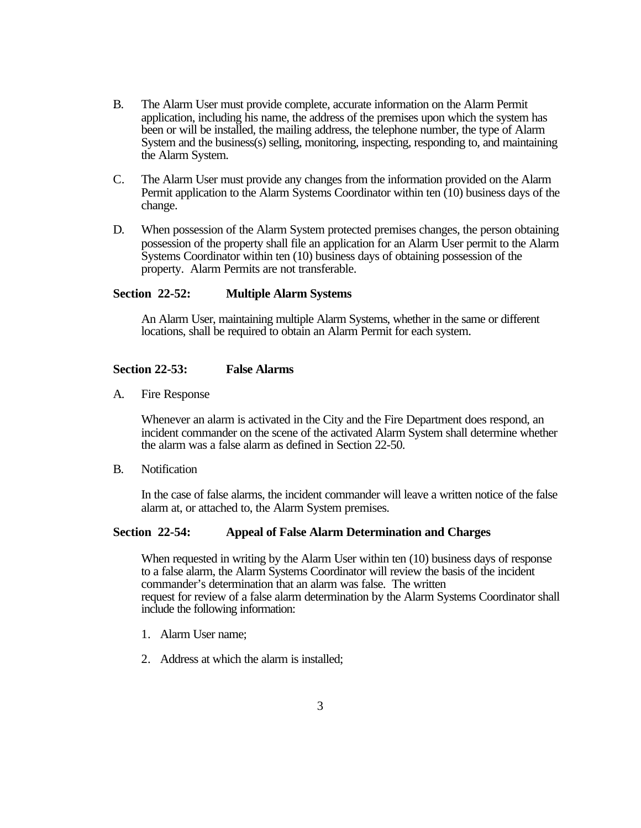- B. . The Alarm User must provide complete, accurate information on the Alarm Permit application, including his name, the address of the premises upon which the system has been or will be installed, the mailing address, the telephone number, the type of Alarm System and the business(s) selling, monitoring, inspecting, responding to, and maintaining the Alarm System.
- C. The Alarm User must provide any changes from the information provided on the Alarm Permit application to the Alarm Systems Coordinator within ten (10) business days of the change.
- D. When possession of the Alarm System protected premises changes, the person obtaining possession of the property shall file an application for an Alarm User permit to the Alarm Systems Coordinator within ten (10) business days of obtaining possession of the property. Alarm Permits are not transferable.

### **Section 22-52: Multiple Alarm Systems**

An Alarm User, maintaining multiple Alarm Systems, whether in the same or different locations, shall be required to obtain an Alarm Permit for each system.

# **Section 22-53: False Alarms**

A. Fire Response

Whenever an alarm is activated in the City and the Fire Department does respond, an incident commander on the scene of the activated Alarm System shall determine whether the alarm was a false alarm as defined in Section 22-50.

B. Notification

In the case of false alarms, the incident commander will leave a written notice of the false alarm at, or attached to, the Alarm System premises.

#### **Section 22-54: Appeal of False Alarm Determination and Charges**

When requested in writing by the Alarm User within ten (10) business days of response to a false alarm, the Alarm Systems Coordinator will review the basis of the incident commander's determination that an alarm was false. The written request for review of a false alarm determination by the Alarm Systems Coordinator shall include the following information:

- 1. Alarm User name;
- 2. Address at which the alarm is installed;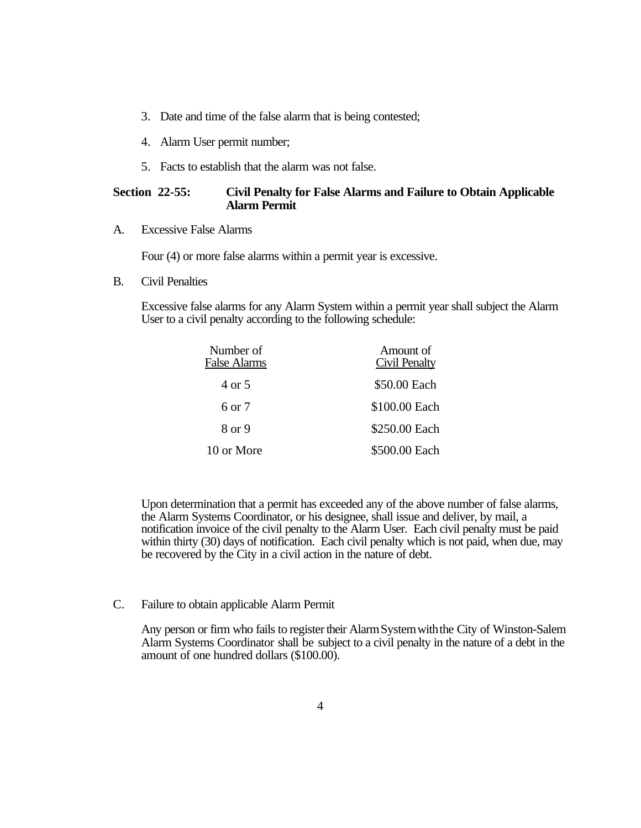- 3. Date and time of the false alarm that is being contested;
- 4. Alarm User permit number;
- 5. Facts to establish that the alarm was not false.

# **Section 22-55: Civil Penalty for False Alarms and Failure to Obtain Applicable Alarm Permit**

A. Excessive False Alarms

Four (4) or more false alarms within a permit year is excessive.

B. Civil Penalties

Excessive false alarms for any Alarm System within a permit year shall subject the Alarm User to a civil penalty according to the following schedule:

| Number of<br>False Alarms | Amount of<br><b>Civil Penalty</b> |
|---------------------------|-----------------------------------|
| 4 or 5                    | \$50.00 Each                      |
| 6 or 7                    | \$100.00 Each                     |
| 8 or 9                    | \$250.00 Each                     |
| 10 or More                | \$500.00 Each                     |

Upon determination that a permit has exceeded any of the above number of false alarms, the Alarm Systems Coordinator, or his designee, shall issue and deliver, by mail, a notification invoice of the civil penalty to the Alarm User. Each civil penalty must be paid within thirty (30) days of notification. Each civil penalty which is not paid, when due, may be recovered by the City in a civil action in the nature of debt.

C. Failure to obtain applicable Alarm Permit

Any person or firm who fails to register their Alarm System with the City of Winston-Salem Alarm Systems Coordinator shall be subject to a civil penalty in the nature of a debt in the amount of one hundred dollars (\$100.00).